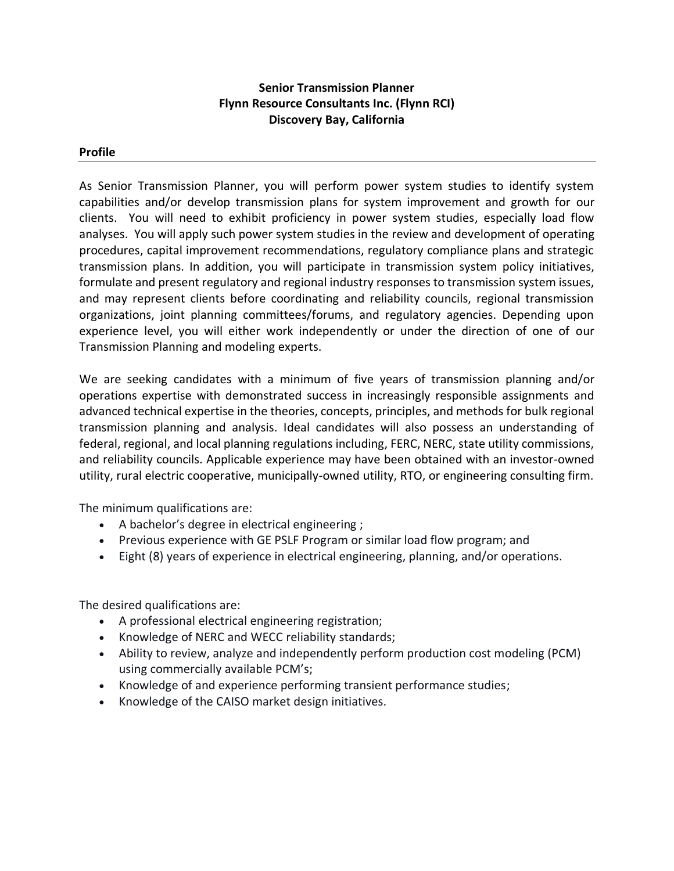## **Senior Transmission Planner Flynn Resource Consultants Inc. (Flynn RCI) Discovery Bay, California**

## **Profile**

As Senior Transmission Planner, you will perform power system studies to identify system capabilities and/or develop transmission plans for system improvement and growth for our clients. You will need to exhibit proficiency in power system studies, especially load flow analyses. You will apply such power system studies in the review and development of operating procedures, capital improvement recommendations, regulatory compliance plans and strategic transmission plans. In addition, you will participate in transmission system policy initiatives, formulate and present regulatory and regional industry responses to transmission system issues, and may represent clients before coordinating and reliability councils, regional transmission organizations, joint planning committees/forums, and regulatory agencies. Depending upon experience level, you will either work independently or under the direction of one of our Transmission Planning and modeling experts.

We are seeking candidates with a minimum of five years of transmission planning and/or operations expertise with demonstrated success in increasingly responsible assignments and advanced technical expertise in the theories, concepts, principles, and methods for bulk regional transmission planning and analysis. Ideal candidates will also possess an understanding of federal, regional, and local planning regulations including, FERC, NERC, state utility commissions, and reliability councils. Applicable experience may have been obtained with an investor-owned utility, rural electric cooperative, municipally-owned utility, RTO, or engineering consulting firm.

The minimum qualifications are:

- A bachelor's degree in electrical engineering ;
- Previous experience with GE PSLF Program or similar load flow program; and
- Eight (8) years of experience in electrical engineering, planning, and/or operations.

The desired qualifications are:

- A professional electrical engineering registration;
- Knowledge of NERC and WECC reliability standards;
- Ability to review, analyze and independently perform production cost modeling (PCM) using commercially available PCM's;
- Knowledge of and experience performing transient performance studies;
- Knowledge of the CAISO market design initiatives.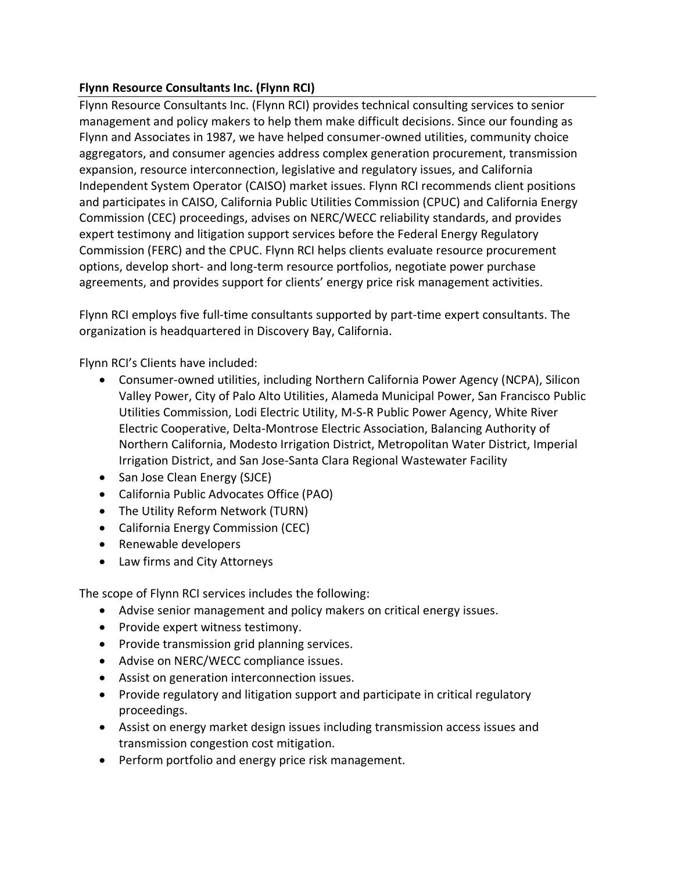## **Flynn Resource Consultants Inc. (Flynn RCI)**

Flynn Resource Consultants Inc. (Flynn RCI) provides technical consulting services to senior management and policy makers to help them make difficult decisions. Since our founding as Flynn and Associates in 1987, we have helped consumer-owned utilities, community choice aggregators, and consumer agencies address complex generation procurement, transmission expansion, resource interconnection, legislative and regulatory issues, and California Independent System Operator (CAISO) market issues. Flynn RCI recommends client positions and participates in CAISO, California Public Utilities Commission (CPUC) and California Energy Commission (CEC) proceedings, advises on NERC/WECC reliability standards, and provides expert testimony and litigation support services before the Federal Energy Regulatory Commission (FERC) and the CPUC. Flynn RCI helps clients evaluate resource procurement options, develop short- and long-term resource portfolios, negotiate power purchase agreements, and provides support for clients' energy price risk management activities.

Flynn RCI employs five full-time consultants supported by part-time expert consultants. The organization is headquartered in Discovery Bay, California.

Flynn RCI's Clients have included:

- Consumer-owned utilities, including Northern California Power Agency (NCPA), Silicon Valley Power, City of Palo Alto Utilities, Alameda Municipal Power, San Francisco Public Utilities Commission, Lodi Electric Utility, M-S-R Public Power Agency, White River Electric Cooperative, Delta-Montrose Electric Association, Balancing Authority of Northern California, Modesto Irrigation District, Metropolitan Water District, Imperial Irrigation District, and San Jose-Santa Clara Regional Wastewater Facility
- San Jose Clean Energy (SJCE)
- California Public Advocates Office (PAO)
- The Utility Reform Network (TURN)
- California Energy Commission (CEC)
- Renewable developers
- Law firms and City Attorneys

The scope of Flynn RCI services includes the following:

- Advise senior management and policy makers on critical energy issues.
- Provide expert witness testimony.
- Provide transmission grid planning services.
- Advise on NERC/WECC compliance issues.
- Assist on generation interconnection issues.
- Provide regulatory and litigation support and participate in critical regulatory proceedings.
- Assist on energy market design issues including transmission access issues and transmission congestion cost mitigation.
- Perform portfolio and energy price risk management.